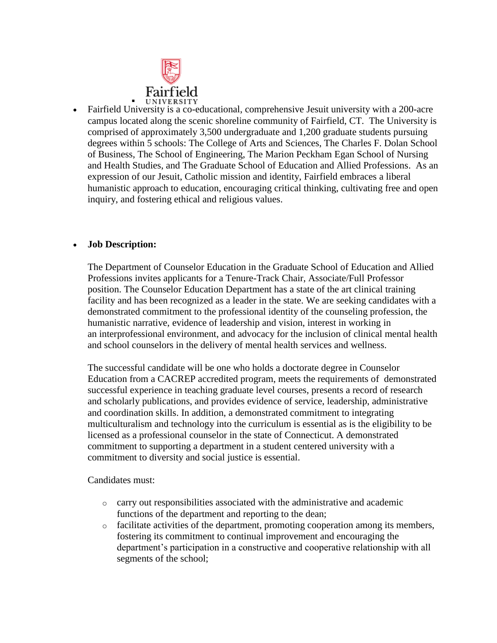

: Fairfield University is a co-educational, comprehensive Jesuit university with a 200-acre campus located along the scenic shoreline community of Fairfield, CT. The University is comprised of approximately 3,500 undergraduate and 1,200 graduate students pursuing degrees within 5 schools: The College of Arts and Sciences, The Charles F. Dolan School of Business, The School of Engineering, The Marion Peckham Egan School of Nursing and Health Studies, and The Graduate School of Education and Allied Professions. As an expression of our Jesuit, Catholic mission and identity, Fairfield embraces a liberal humanistic approach to education, encouraging critical thinking, cultivating free and open inquiry, and fostering ethical and religious values.

## **Job Description:**

The Department of Counselor Education in the Graduate School of Education and Allied Professions invites applicants for a Tenure-Track Chair, Associate/Full Professor position. The Counselor Education Department has a state of the art clinical training facility and has been recognized as a leader in the state. We are seeking candidates with a demonstrated commitment to the professional identity of the counseling profession, the humanistic narrative, evidence of leadership and vision, interest in working in an interprofessional environment, and advocacy for the inclusion of clinical mental health and school counselors in the delivery of mental health services and wellness.

The successful candidate will be one who holds a doctorate degree in Counselor Education from a CACREP accredited program, meets the requirements of demonstrated successful experience in teaching graduate level courses, presents a record of research and scholarly publications, and provides evidence of service, leadership, administrative and coordination skills. In addition, a demonstrated commitment to integrating multiculturalism and technology into the curriculum is essential as is the eligibility to be licensed as a professional counselor in the state of Connecticut. A demonstrated commitment to supporting a department in a student centered university with a commitment to diversity and social justice is essential.

Candidates must:

- o carry out responsibilities associated with the administrative and academic functions of the department and reporting to the dean;
- o facilitate activities of the department, promoting cooperation among its members, fostering its commitment to continual improvement and encouraging the department's participation in a constructive and cooperative relationship with all segments of the school;